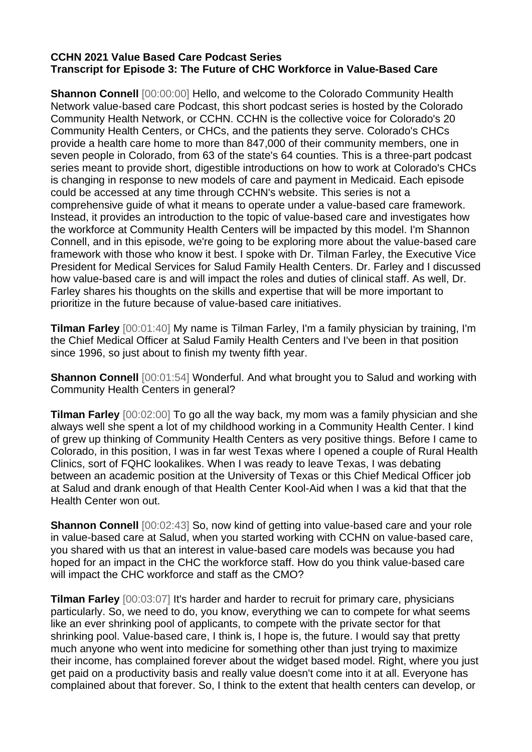## **CCHN 2021 Value Based Care Podcast Series Transcript for Episode 3: The Future of CHC Workforce in Value-Based Care**

**Shannon Connell** [00:00:00] Hello, and welcome to the Colorado Community Health Network value-based care Podcast, this short podcast series is hosted by the Colorado Community Health Network, or CCHN. CCHN is the collective voice for Colorado's 20 Community Health Centers, or CHCs, and the patients they serve. Colorado's CHCs provide a health care home to more than 847,000 of their community members, one in seven people in Colorado, from 63 of the state's 64 counties. This is a three-part podcast series meant to provide short, digestible introductions on how to work at Colorado's CHCs is changing in response to new models of care and payment in Medicaid. Each episode could be accessed at any time through CCHN's website. This series is not a comprehensive guide of what it means to operate under a value-based care framework. Instead, it provides an introduction to the topic of value-based care and investigates how the workforce at Community Health Centers will be impacted by this model. I'm Shannon Connell, and in this episode, we're going to be exploring more about the value-based care framework with those who know it best. I spoke with Dr. Tilman Farley, the Executive Vice President for Medical Services for Salud Family Health Centers. Dr. Farley and I discussed how value-based care is and will impact the roles and duties of clinical staff. As well, Dr. Farley shares his thoughts on the skills and expertise that will be more important to prioritize in the future because of value-based care initiatives.

**Tilman Farley** [00:01:40] My name is Tilman Farley, I'm a family physician by training, I'm the Chief Medical Officer at Salud Family Health Centers and I've been in that position since 1996, so just about to finish my twenty fifth year.

**Shannon Connell** [00:01:54] Wonderful. And what brought you to Salud and working with Community Health Centers in general?

**Tilman Farley** [00:02:00] To go all the way back, my mom was a family physician and she always well she spent a lot of my childhood working in a Community Health Center. I kind of grew up thinking of Community Health Centers as very positive things. Before I came to Colorado, in this position, I was in far west Texas where I opened a couple of Rural Health Clinics, sort of FQHC lookalikes. When I was ready to leave Texas, I was debating between an academic position at the University of Texas or this Chief Medical Officer job at Salud and drank enough of that Health Center Kool-Aid when I was a kid that that the Health Center won out.

**Shannon Connell** [00:02:43] So, now kind of getting into value-based care and your role in value-based care at Salud, when you started working with CCHN on value-based care, you shared with us that an interest in value-based care models was because you had hoped for an impact in the CHC the workforce staff. How do you think value-based care will impact the CHC workforce and staff as the CMO?

**Tilman Farley** [00:03:07] It's harder and harder to recruit for primary care, physicians particularly. So, we need to do, you know, everything we can to compete for what seems like an ever shrinking pool of applicants, to compete with the private sector for that shrinking pool. Value-based care, I think is, I hope is, the future. I would say that pretty much anyone who went into medicine for something other than just trying to maximize their income, has complained forever about the widget based model. Right, where you just get paid on a productivity basis and really value doesn't come into it at all. Everyone has complained about that forever. So, I think to the extent that health centers can develop, or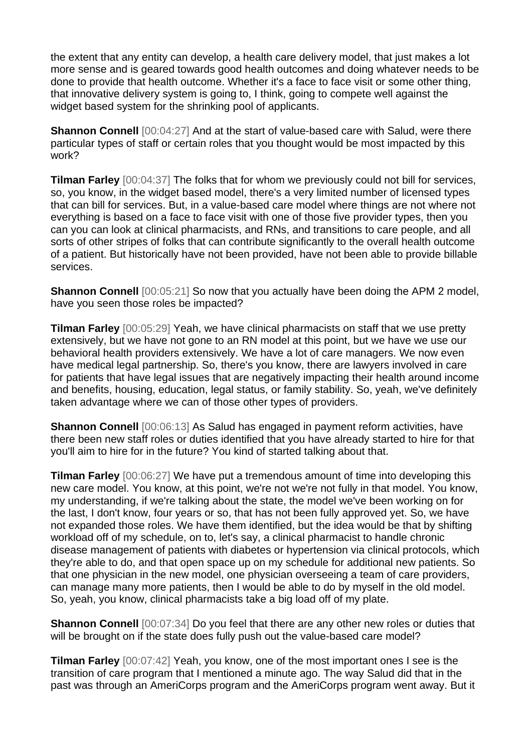the extent that any entity can develop, a health care delivery model, that just makes a lot more sense and is geared towards good health outcomes and doing whatever needs to be done to provide that health outcome. Whether it's a face to face visit or some other thing, that innovative delivery system is going to, I think, going to compete well against the widget based system for the shrinking pool of applicants.

**Shannon Connell** [00:04:27] And at the start of value-based care with Salud, were there particular types of staff or certain roles that you thought would be most impacted by this work?

**Tilman Farley** [00:04:37] The folks that for whom we previously could not bill for services, so, you know, in the widget based model, there's a very limited number of licensed types that can bill for services. But, in a value-based care model where things are not where not everything is based on a face to face visit with one of those five provider types, then you can you can look at clinical pharmacists, and RNs, and transitions to care people, and all sorts of other stripes of folks that can contribute significantly to the overall health outcome of a patient. But historically have not been provided, have not been able to provide billable services.

**Shannon Connell** [00:05:21] So now that you actually have been doing the APM 2 model, have you seen those roles be impacted?

**Tilman Farley** [00:05:29] Yeah, we have clinical pharmacists on staff that we use pretty extensively, but we have not gone to an RN model at this point, but we have we use our behavioral health providers extensively. We have a lot of care managers. We now even have medical legal partnership. So, there's you know, there are lawyers involved in care for patients that have legal issues that are negatively impacting their health around income and benefits, housing, education, legal status, or family stability. So, yeah, we've definitely taken advantage where we can of those other types of providers.

**Shannon Connell** [00:06:13] As Salud has engaged in payment reform activities, have there been new staff roles or duties identified that you have already started to hire for that you'll aim to hire for in the future? You kind of started talking about that.

**Tilman Farley**  $[00:06:27]$  We have put a tremendous amount of time into developing this new care model. You know, at this point, we're not we're not fully in that model. You know, my understanding, if we're talking about the state, the model we've been working on for the last, I don't know, four years or so, that has not been fully approved yet. So, we have not expanded those roles. We have them identified, but the idea would be that by shifting workload off of my schedule, on to, let's say, a clinical pharmacist to handle chronic disease management of patients with diabetes or hypertension via clinical protocols, which they're able to do, and that open space up on my schedule for additional new patients. So that one physician in the new model, one physician overseeing a team of care providers, can manage many more patients, then I would be able to do by myself in the old model. So, yeah, you know, clinical pharmacists take a big load off of my plate.

**Shannon Connell**  $[00:07:34]$  Do you feel that there are any other new roles or duties that will be brought on if the state does fully push out the value-based care model?

**Tilman Farley** [00:07:42] Yeah, you know, one of the most important ones I see is the transition of care program that I mentioned a minute ago. The way Salud did that in the past was through an AmeriCorps program and the AmeriCorps program went away. But it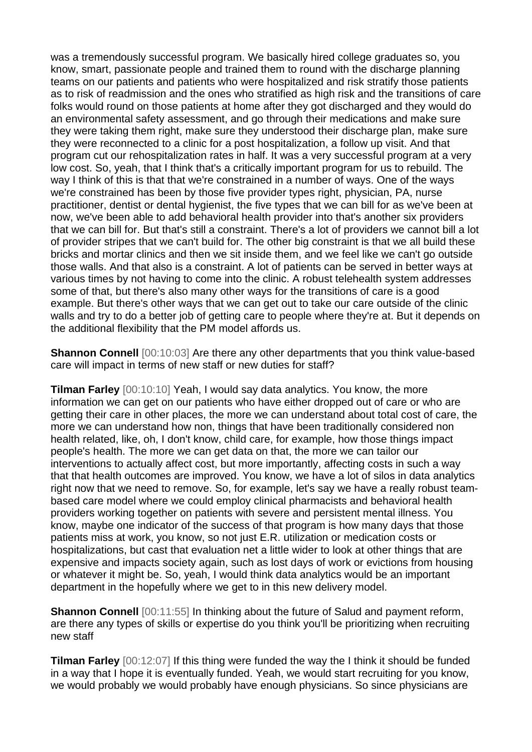was a tremendously successful program. We basically hired college graduates so, you know, smart, passionate people and trained them to round with the discharge planning teams on our patients and patients who were hospitalized and risk stratify those patients as to risk of readmission and the ones who stratified as high risk and the transitions of care folks would round on those patients at home after they got discharged and they would do an environmental safety assessment, and go through their medications and make sure they were taking them right, make sure they understood their discharge plan, make sure they were reconnected to a clinic for a post hospitalization, a follow up visit. And that program cut our rehospitalization rates in half. It was a very successful program at a very low cost. So, yeah, that I think that's a critically important program for us to rebuild. The way I think of this is that that we're constrained in a number of ways. One of the ways we're constrained has been by those five provider types right, physician, PA, nurse practitioner, dentist or dental hygienist, the five types that we can bill for as we've been at now, we've been able to add behavioral health provider into that's another six providers that we can bill for. But that's still a constraint. There's a lot of providers we cannot bill a lot of provider stripes that we can't build for. The other big constraint is that we all build these bricks and mortar clinics and then we sit inside them, and we feel like we can't go outside those walls. And that also is a constraint. A lot of patients can be served in better ways at various times by not having to come into the clinic. A robust telehealth system addresses some of that, but there's also many other ways for the transitions of care is a good example. But there's other ways that we can get out to take our care outside of the clinic walls and try to do a better job of getting care to people where they're at. But it depends on the additional flexibility that the PM model affords us.

**Shannon Connell** [00:10:03] Are there any other departments that you think value-based care will impact in terms of new staff or new duties for staff?

**Tilman Farley** [00:10:10] Yeah, I would say data analytics. You know, the more information we can get on our patients who have either dropped out of care or who are getting their care in other places, the more we can understand about total cost of care, the more we can understand how non, things that have been traditionally considered non health related, like, oh, I don't know, child care, for example, how those things impact people's health. The more we can get data on that, the more we can tailor our interventions to actually affect cost, but more importantly, affecting costs in such a way that that health outcomes are improved. You know, we have a lot of silos in data analytics right now that we need to remove. So, for example, let's say we have a really robust teambased care model where we could employ clinical pharmacists and behavioral health providers working together on patients with severe and persistent mental illness. You know, maybe one indicator of the success of that program is how many days that those patients miss at work, you know, so not just E.R. utilization or medication costs or hospitalizations, but cast that evaluation net a little wider to look at other things that are expensive and impacts society again, such as lost days of work or evictions from housing or whatever it might be. So, yeah, I would think data analytics would be an important department in the hopefully where we get to in this new delivery model.

**Shannon Connell** [00:11:55] In thinking about the future of Salud and payment reform, are there any types of skills or expertise do you think you'll be prioritizing when recruiting new staff

**Tilman Farley** [00:12:07] If this thing were funded the way the I think it should be funded in a way that I hope it is eventually funded. Yeah, we would start recruiting for you know, we would probably we would probably have enough physicians. So since physicians are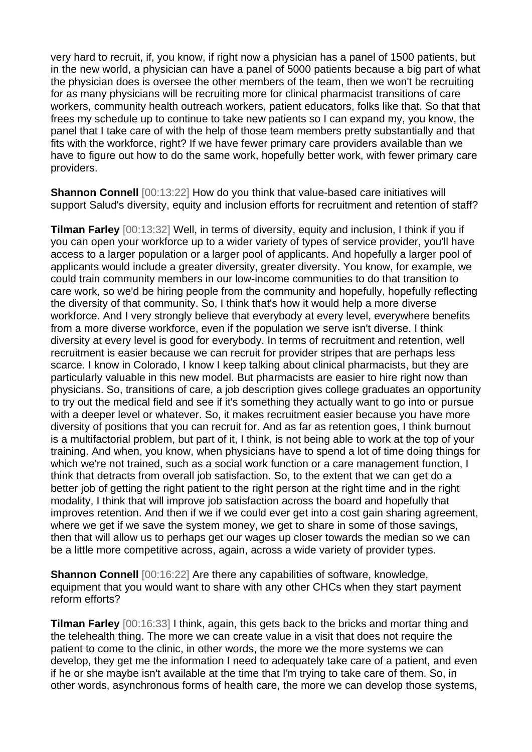very hard to recruit, if, you know, if right now a physician has a panel of 1500 patients, but in the new world, a physician can have a panel of 5000 patients because a big part of what the physician does is oversee the other members of the team, then we won't be recruiting for as many physicians will be recruiting more for clinical pharmacist transitions of care workers, community health outreach workers, patient educators, folks like that. So that that frees my schedule up to continue to take new patients so I can expand my, you know, the panel that I take care of with the help of those team members pretty substantially and that fits with the workforce, right? If we have fewer primary care providers available than we have to figure out how to do the same work, hopefully better work, with fewer primary care providers.

**Shannon Connell** [00:13:22] How do you think that value-based care initiatives will support Salud's diversity, equity and inclusion efforts for recruitment and retention of staff?

**Tilman Farley** [00:13:32] Well, in terms of diversity, equity and inclusion, I think if you if you can open your workforce up to a wider variety of types of service provider, you'll have access to a larger population or a larger pool of applicants. And hopefully a larger pool of applicants would include a greater diversity, greater diversity. You know, for example, we could train community members in our low-income communities to do that transition to care work, so we'd be hiring people from the community and hopefully, hopefully reflecting the diversity of that community. So, I think that's how it would help a more diverse workforce. And I very strongly believe that everybody at every level, everywhere benefits from a more diverse workforce, even if the population we serve isn't diverse. I think diversity at every level is good for everybody. In terms of recruitment and retention, well recruitment is easier because we can recruit for provider stripes that are perhaps less scarce. I know in Colorado, I know I keep talking about clinical pharmacists, but they are particularly valuable in this new model. But pharmacists are easier to hire right now than physicians. So, transitions of care, a job description gives college graduates an opportunity to try out the medical field and see if it's something they actually want to go into or pursue with a deeper level or whatever. So, it makes recruitment easier because you have more diversity of positions that you can recruit for. And as far as retention goes, I think burnout is a multifactorial problem, but part of it, I think, is not being able to work at the top of your training. And when, you know, when physicians have to spend a lot of time doing things for which we're not trained, such as a social work function or a care management function, I think that detracts from overall job satisfaction. So, to the extent that we can get do a better job of getting the right patient to the right person at the right time and in the right modality, I think that will improve job satisfaction across the board and hopefully that improves retention. And then if we if we could ever get into a cost gain sharing agreement, where we get if we save the system money, we get to share in some of those savings, then that will allow us to perhaps get our wages up closer towards the median so we can be a little more competitive across, again, across a wide variety of provider types.

**Shannon Connell** [00:16:22] Are there any capabilities of software, knowledge, equipment that you would want to share with any other CHCs when they start payment reform efforts?

**Tilman Farley** [00:16:33] I think, again, this gets back to the bricks and mortar thing and the telehealth thing. The more we can create value in a visit that does not require the patient to come to the clinic, in other words, the more we the more systems we can develop, they get me the information I need to adequately take care of a patient, and even if he or she maybe isn't available at the time that I'm trying to take care of them. So, in other words, asynchronous forms of health care, the more we can develop those systems,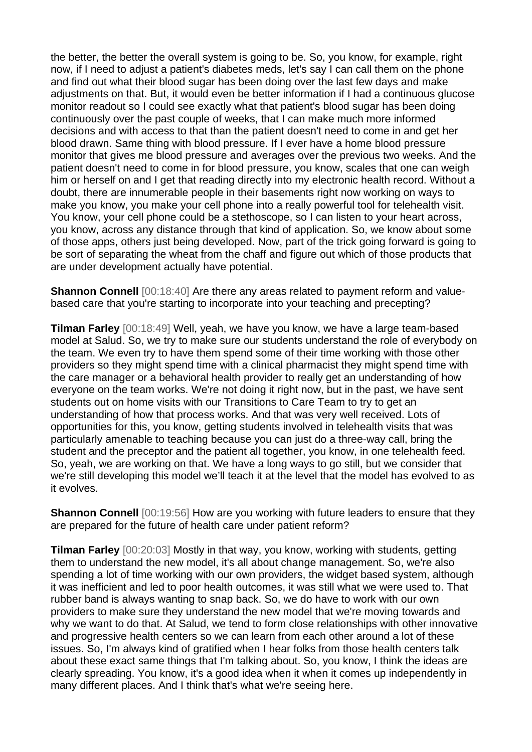the better, the better the overall system is going to be. So, you know, for example, right now, if I need to adjust a patient's diabetes meds, let's say I can call them on the phone and find out what their blood sugar has been doing over the last few days and make adjustments on that. But, it would even be better information if I had a continuous glucose monitor readout so I could see exactly what that patient's blood sugar has been doing continuously over the past couple of weeks, that I can make much more informed decisions and with access to that than the patient doesn't need to come in and get her blood drawn. Same thing with blood pressure. If I ever have a home blood pressure monitor that gives me blood pressure and averages over the previous two weeks. And the patient doesn't need to come in for blood pressure, you know, scales that one can weigh him or herself on and I get that reading directly into my electronic health record. Without a doubt, there are innumerable people in their basements right now working on ways to make you know, you make your cell phone into a really powerful tool for telehealth visit. You know, your cell phone could be a stethoscope, so I can listen to your heart across, you know, across any distance through that kind of application. So, we know about some of those apps, others just being developed. Now, part of the trick going forward is going to be sort of separating the wheat from the chaff and figure out which of those products that are under development actually have potential.

**Shannon Connell** [00:18:40] Are there any areas related to payment reform and valuebased care that you're starting to incorporate into your teaching and precepting?

**Tilman Farley** [00:18:49] Well, yeah, we have you know, we have a large team-based model at Salud. So, we try to make sure our students understand the role of everybody on the team. We even try to have them spend some of their time working with those other providers so they might spend time with a clinical pharmacist they might spend time with the care manager or a behavioral health provider to really get an understanding of how everyone on the team works. We're not doing it right now, but in the past, we have sent students out on home visits with our Transitions to Care Team to try to get an understanding of how that process works. And that was very well received. Lots of opportunities for this, you know, getting students involved in telehealth visits that was particularly amenable to teaching because you can just do a three-way call, bring the student and the preceptor and the patient all together, you know, in one telehealth feed. So, yeah, we are working on that. We have a long ways to go still, but we consider that we're still developing this model we'll teach it at the level that the model has evolved to as it evolves.

**Shannon Connell** [00:19:56] How are you working with future leaders to ensure that they are prepared for the future of health care under patient reform?

**Tilman Farley** [00:20:03] Mostly in that way, you know, working with students, getting them to understand the new model, it's all about change management. So, we're also spending a lot of time working with our own providers, the widget based system, although it was inefficient and led to poor health outcomes, it was still what we were used to. That rubber band is always wanting to snap back. So, we do have to work with our own providers to make sure they understand the new model that we're moving towards and why we want to do that. At Salud, we tend to form close relationships with other innovative and progressive health centers so we can learn from each other around a lot of these issues. So, I'm always kind of gratified when I hear folks from those health centers talk about these exact same things that I'm talking about. So, you know, I think the ideas are clearly spreading. You know, it's a good idea when it when it comes up independently in many different places. And I think that's what we're seeing here.